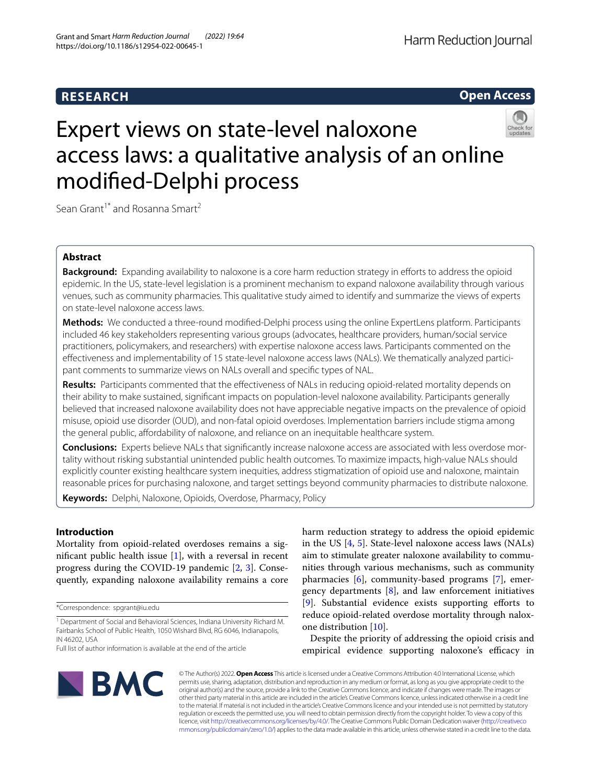# **RESEARCH**



# Expert views on state-level naloxone access laws: a qualitative analysis of an online modifed-Delphi process

Sean Grant<sup>1\*</sup> and Rosanna Smart<sup>2</sup>

# **Abstract**

**Background:** Expanding availability to naloxone is a core harm reduction strategy in efforts to address the opioid epidemic. In the US, state-level legislation is a prominent mechanism to expand naloxone availability through various venues, such as community pharmacies. This qualitative study aimed to identify and summarize the views of experts on state-level naloxone access laws.

**Methods:** We conducted a three-round modifed-Delphi process using the online ExpertLens platform. Participants included 46 key stakeholders representing various groups (advocates, healthcare providers, human/social service practitioners, policymakers, and researchers) with expertise naloxone access laws. Participants commented on the efectiveness and implementability of 15 state-level naloxone access laws (NALs). We thematically analyzed participant comments to summarize views on NALs overall and specifc types of NAL.

**Results:** Participants commented that the efectiveness of NALs in reducing opioid-related mortality depends on their ability to make sustained, signifcant impacts on population-level naloxone availability. Participants generally believed that increased naloxone availability does not have appreciable negative impacts on the prevalence of opioid misuse, opioid use disorder (OUD), and non-fatal opioid overdoses. Implementation barriers include stigma among the general public, affordability of naloxone, and reliance on an inequitable healthcare system.

**Conclusions:** Experts believe NALs that signifcantly increase naloxone access are associated with less overdose mortality without risking substantial unintended public health outcomes. To maximize impacts, high-value NALs should explicitly counter existing healthcare system inequities, address stigmatization of opioid use and naloxone, maintain reasonable prices for purchasing naloxone, and target settings beyond community pharmacies to distribute naloxone.

**Keywords:** Delphi, Naloxone, Opioids, Overdose, Pharmacy, Policy

# **Introduction**

Mortality from opioid-related overdoses remains a signifcant public health issue [\[1](#page-11-0)], with a reversal in recent progress during the COVID-19 pandemic [\[2](#page-11-1), [3\]](#page-11-2). Consequently, expanding naloxone availability remains a core

\*Correspondence: spgrant@iu.edu

harm reduction strategy to address the opioid epidemic in the US [\[4](#page-11-3), [5](#page-11-4)]. State-level naloxone access laws (NALs) aim to stimulate greater naloxone availability to communities through various mechanisms, such as community pharmacies [\[6](#page-11-5)], community-based programs [[7\]](#page-11-6), emergency departments [[8\]](#page-11-7), and law enforcement initiatives [[9\]](#page-11-8). Substantial evidence exists supporting efforts to reduce opioid-related overdose mortality through naloxone distribution [\[10\]](#page-11-9).

Despite the priority of addressing the opioid crisis and empirical evidence supporting naloxone's efficacy in



© The Author(s) 2022. **Open Access** This article is licensed under a Creative Commons Attribution 4.0 International License, which permits use, sharing, adaptation, distribution and reproduction in any medium or format, as long as you give appropriate credit to the original author(s) and the source, provide a link to the Creative Commons licence, and indicate if changes were made. The images or other third party material in this article are included in the article's Creative Commons licence, unless indicated otherwise in a credit line to the material. If material is not included in the article's Creative Commons licence and your intended use is not permitted by statutory regulation or exceeds the permitted use, you will need to obtain permission directly from the copyright holder. To view a copy of this licence, visit [http://creativecommons.org/licenses/by/4.0/.](http://creativecommons.org/licenses/by/4.0/) The Creative Commons Public Domain Dedication waiver ([http://creativeco](http://creativecommons.org/publicdomain/zero/1.0/) [mmons.org/publicdomain/zero/1.0/](http://creativecommons.org/publicdomain/zero/1.0/)) applies to the data made available in this article, unless otherwise stated in a credit line to the data.

<sup>&</sup>lt;sup>1</sup> Department of Social and Behavioral Sciences, Indiana University Richard M. Fairbanks School of Public Health, 1050 Wishard Blvd, RG 6046, Indianapolis, IN 46202, USA

Full list of author information is available at the end of the article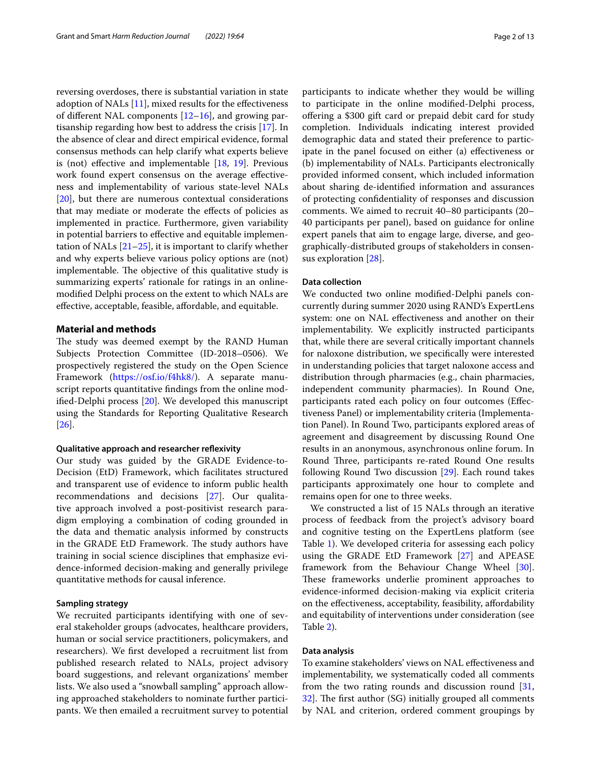reversing overdoses, there is substantial variation in state adoption of NALs  $[11]$  $[11]$ , mixed results for the effectiveness of different NAL components  $[12–16]$  $[12–16]$ , and growing partisanship regarding how best to address the crisis [[17\]](#page-11-13). In the absence of clear and direct empirical evidence, formal consensus methods can help clarify what experts believe is (not) efective and implementable [[18,](#page-11-14) [19](#page-11-15)]. Previous work found expert consensus on the average efectiveness and implementability of various state-level NALs [[20\]](#page-11-16), but there are numerous contextual considerations that may mediate or moderate the efects of policies as implemented in practice. Furthermore, given variability in potential barriers to efective and equitable implementation of NALs  $[21–25]$  $[21–25]$ , it is important to clarify whether and why experts believe various policy options are (not) implementable. The objective of this qualitative study is summarizing experts' rationale for ratings in an onlinemodifed Delphi process on the extent to which NALs are efective, acceptable, feasible, afordable, and equitable.

# **Material and methods**

The study was deemed exempt by the RAND Human Subjects Protection Committee (ID-2018–0506). We prospectively registered the study on the Open Science Framework (<https://osf.io/f4hk8/>). A separate manuscript reports quantitative fndings from the online modifed-Delphi process [[20\]](#page-11-16). We developed this manuscript using the Standards for Reporting Qualitative Research [[26\]](#page-11-19).

#### **Qualitative approach and researcher refexivity**

Our study was guided by the GRADE Evidence-to-Decision (EtD) Framework, which facilitates structured and transparent use of evidence to inform public health recommendations and decisions [[27\]](#page-11-20). Our qualitative approach involved a post-positivist research paradigm employing a combination of coding grounded in the data and thematic analysis informed by constructs in the GRADE EtD Framework. The study authors have training in social science disciplines that emphasize evidence-informed decision-making and generally privilege quantitative methods for causal inference.

# **Sampling strategy**

We recruited participants identifying with one of several stakeholder groups (advocates, healthcare providers, human or social service practitioners, policymakers, and researchers). We frst developed a recruitment list from published research related to NALs, project advisory board suggestions, and relevant organizations' member lists. We also used a "snowball sampling" approach allowing approached stakeholders to nominate further participants. We then emailed a recruitment survey to potential participants to indicate whether they would be willing to participate in the online modifed-Delphi process, ofering a \$300 gift card or prepaid debit card for study completion. Individuals indicating interest provided demographic data and stated their preference to participate in the panel focused on either (a) efectiveness or (b) implementability of NALs. Participants electronically provided informed consent, which included information about sharing de-identifed information and assurances of protecting confdentiality of responses and discussion comments. We aimed to recruit 40–80 participants (20– 40 participants per panel), based on guidance for online expert panels that aim to engage large, diverse, and geographically-distributed groups of stakeholders in consensus exploration [\[28](#page-12-0)].

#### **Data collection**

We conducted two online modifed-Delphi panels concurrently during summer 2020 using RAND's ExpertLens system: one on NAL efectiveness and another on their implementability. We explicitly instructed participants that, while there are several critically important channels for naloxone distribution, we specifcally were interested in understanding policies that target naloxone access and distribution through pharmacies (e.g., chain pharmacies, independent community pharmacies). In Round One, participants rated each policy on four outcomes (Efectiveness Panel) or implementability criteria (Implementation Panel). In Round Two, participants explored areas of agreement and disagreement by discussing Round One results in an anonymous, asynchronous online forum. In Round Three, participants re-rated Round One results following Round Two discussion [\[29](#page-12-1)]. Each round takes participants approximately one hour to complete and remains open for one to three weeks.

We constructed a list of 15 NALs through an iterative process of feedback from the project's advisory board and cognitive testing on the ExpertLens platform (see Table [1\)](#page-2-0). We developed criteria for assessing each policy using the GRADE EtD Framework [\[27](#page-11-20)] and APEASE framework from the Behaviour Change Wheel [\[30](#page-12-2)]. These frameworks underlie prominent approaches to evidence-informed decision-making via explicit criteria on the efectiveness, acceptability, feasibility, afordability and equitability of interventions under consideration (see Table [2](#page-3-0)).

#### **Data analysis**

To examine stakeholders' views on NAL efectiveness and implementability, we systematically coded all comments from the two rating rounds and discussion round [[31](#page-12-3),  $32$ ]. The first author (SG) initially grouped all comments by NAL and criterion, ordered comment groupings by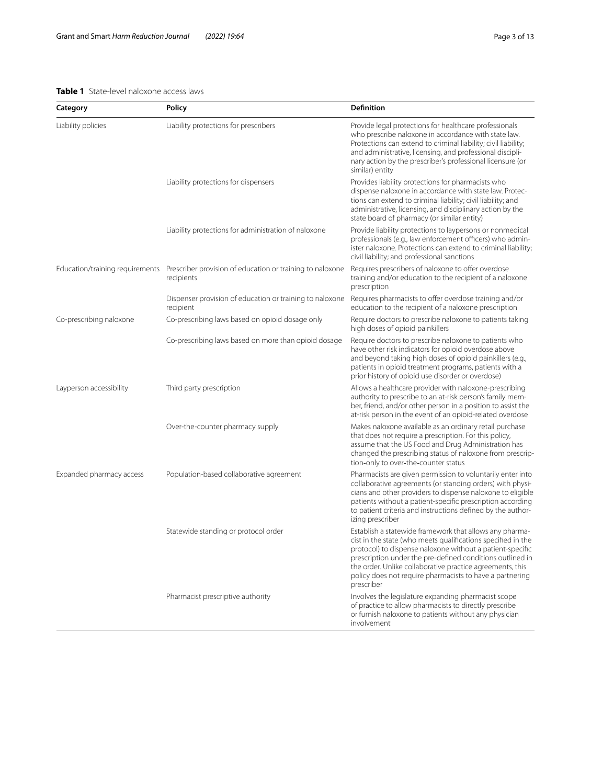# <span id="page-2-0"></span>**Table 1** State-level naloxone access laws

| Category                        | Policy                                                                  | <b>Definition</b>                                                                                                                                                                                                                                                                                                                                                                        |
|---------------------------------|-------------------------------------------------------------------------|------------------------------------------------------------------------------------------------------------------------------------------------------------------------------------------------------------------------------------------------------------------------------------------------------------------------------------------------------------------------------------------|
| Liability policies              | Liability protections for prescribers                                   | Provide legal protections for healthcare professionals<br>who prescribe naloxone in accordance with state law.<br>Protections can extend to criminal liability; civil liability;<br>and administrative, licensing, and professional discipli-<br>nary action by the prescriber's professional licensure (or<br>similar) entity                                                           |
|                                 | Liability protections for dispensers                                    | Provides liability protections for pharmacists who<br>dispense naloxone in accordance with state law. Protec-<br>tions can extend to criminal liability; civil liability; and<br>administrative, licensing, and disciplinary action by the<br>state board of pharmacy (or similar entity)                                                                                                |
|                                 | Liability protections for administration of naloxone                    | Provide liability protections to laypersons or nonmedical<br>professionals (e.g., law enforcement officers) who admin-<br>ister naloxone. Protections can extend to criminal liability;<br>civil liability; and professional sanctions                                                                                                                                                   |
| Education/training requirements | Prescriber provision of education or training to naloxone<br>recipients | Requires prescribers of naloxone to offer overdose<br>training and/or education to the recipient of a naloxone<br>prescription                                                                                                                                                                                                                                                           |
|                                 | Dispenser provision of education or training to naloxone<br>recipient   | Requires pharmacists to offer overdose training and/or<br>education to the recipient of a naloxone prescription                                                                                                                                                                                                                                                                          |
| Co-prescribing naloxone         | Co-prescribing laws based on opioid dosage only                         | Require doctors to prescribe naloxone to patients taking<br>high doses of opioid painkillers                                                                                                                                                                                                                                                                                             |
|                                 | Co-prescribing laws based on more than opioid dosage                    | Require doctors to prescribe naloxone to patients who<br>have other risk indicators for opioid overdose above<br>and beyond taking high doses of opioid painkillers (e.g.,<br>patients in opioid treatment programs, patients with a<br>prior history of opioid use disorder or overdose)                                                                                                |
| Layperson accessibility         | Third party prescription                                                | Allows a healthcare provider with naloxone-prescribing<br>authority to prescribe to an at-risk person's family mem-<br>ber, friend, and/or other person in a position to assist the<br>at-risk person in the event of an opioid-related overdose                                                                                                                                         |
|                                 | Over-the-counter pharmacy supply                                        | Makes naloxone available as an ordinary retail purchase<br>that does not require a prescription. For this policy,<br>assume that the US Food and Drug Administration has<br>changed the prescribing status of naloxone from prescrip-<br>tion-only to over-the-counter status                                                                                                            |
| Expanded pharmacy access        | Population-based collaborative agreement                                | Pharmacists are given permission to voluntarily enter into<br>collaborative agreements (or standing orders) with physi-<br>cians and other providers to dispense naloxone to eligible<br>patients without a patient-specific prescription according<br>to patient criteria and instructions defined by the author-<br>izing prescriber                                                   |
|                                 | Statewide standing or protocol order                                    | Establish a statewide framework that allows any pharma-<br>cist in the state (who meets qualifications specified in the<br>protocol) to dispense naloxone without a patient-specific<br>prescription under the pre-defined conditions outlined in<br>the order. Unlike collaborative practice agreements, this<br>policy does not require pharmacists to have a partnering<br>prescriber |
|                                 | Pharmacist prescriptive authority                                       | Involves the legislature expanding pharmacist scope<br>of practice to allow pharmacists to directly prescribe<br>or furnish naloxone to patients without any physician<br>involvement                                                                                                                                                                                                    |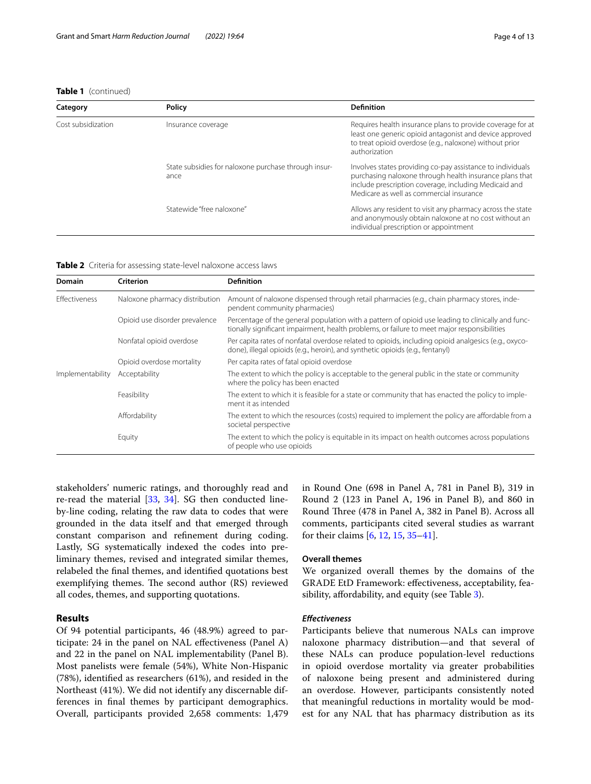# **Table 1** (continued)

| Category           | <b>Policy</b>                                                | <b>Definition</b>                                                                                                                                                                                                          |
|--------------------|--------------------------------------------------------------|----------------------------------------------------------------------------------------------------------------------------------------------------------------------------------------------------------------------------|
| Cost subsidization | Insurance coverage                                           | Requires health insurance plans to provide coverage for at<br>least one generic opioid antagonist and device approved<br>to treat opioid overdose (e.g., naloxone) without prior<br>authorization                          |
|                    | State subsidies for naloxone purchase through insur-<br>ance | Involves states providing co-pay assistance to individuals<br>purchasing naloxone through health insurance plans that<br>include prescription coverage, including Medicaid and<br>Medicare as well as commercial insurance |
|                    | Statewide "free naloxone"                                    | Allows any resident to visit any pharmacy across the state<br>and anonymously obtain naloxone at no cost without an<br>individual prescription or appointment                                                              |

<span id="page-3-0"></span>

| <b>Table 2</b> Criteria for assessing state-level naloxone access laws |  |
|------------------------------------------------------------------------|--|
|------------------------------------------------------------------------|--|

| <b>Domain</b>        | Criterion                      | <b>Definition</b>                                                                                                                                                                                |
|----------------------|--------------------------------|--------------------------------------------------------------------------------------------------------------------------------------------------------------------------------------------------|
| <b>Effectiveness</b> | Naloxone pharmacy distribution | Amount of naloxone dispensed through retail pharmacies (e.g., chain pharmacy stores, inde-<br>pendent community pharmacies)                                                                      |
|                      | Opioid use disorder prevalence | Percentage of the general population with a pattern of opioid use leading to clinically and func-<br>tionally significant impairment, health problems, or failure to meet major responsibilities |
|                      | Nonfatal opioid overdose       | Per capita rates of nonfatal overdose related to opioids, including opioid analgesics (e.g., oxyco-<br>done), illegal opioids (e.g., heroin), and synthetic opioids (e.g., fentanyl)             |
|                      | Opioid overdose mortality      | Per capita rates of fatal opioid overdose                                                                                                                                                        |
| Implementability     | Acceptability                  | The extent to which the policy is acceptable to the general public in the state or community<br>where the policy has been enacted                                                                |
|                      | Feasibility                    | The extent to which it is feasible for a state or community that has enacted the policy to imple-<br>ment it as intended                                                                         |
|                      | Affordability                  | The extent to which the resources (costs) required to implement the policy are affordable from a<br>societal perspective                                                                         |
|                      | Equity                         | The extent to which the policy is equitable in its impact on health outcomes across populations<br>of people who use opioids                                                                     |

stakeholders' numeric ratings, and thoroughly read and re-read the material [\[33](#page-12-5), [34](#page-12-6)]. SG then conducted lineby-line coding, relating the raw data to codes that were grounded in the data itself and that emerged through constant comparison and refnement during coding. Lastly, SG systematically indexed the codes into preliminary themes, revised and integrated similar themes, relabeled the fnal themes, and identifed quotations best exemplifying themes. The second author (RS) reviewed all codes, themes, and supporting quotations.

## **Results**

Of 94 potential participants, 46 (48.9%) agreed to participate: 24 in the panel on NAL efectiveness (Panel A) and 22 in the panel on NAL implementability (Panel B). Most panelists were female (54%), White Non-Hispanic (78%), identifed as researchers (61%), and resided in the Northeast (41%). We did not identify any discernable differences in fnal themes by participant demographics. Overall, participants provided 2,658 comments: 1,479 in Round One (698 in Panel A, 781 in Panel B), 319 in Round 2 (123 in Panel A, 196 in Panel B), and 860 in Round Three (478 in Panel A, 382 in Panel B). Across all comments, participants cited several studies as warrant for their claims [\[6](#page-11-5), [12](#page-11-11), [15,](#page-11-21) [35](#page-12-7)[–41\]](#page-12-8).

#### **Overall themes**

We organized overall themes by the domains of the GRADE EtD Framework: efectiveness, acceptability, fea-sibility, affordability, and equity (see Table [3](#page-4-0)).

## *Efectiveness*

Participants believe that numerous NALs can improve naloxone pharmacy distribution—and that several of these NALs can produce population-level reductions in opioid overdose mortality via greater probabilities of naloxone being present and administered during an overdose. However, participants consistently noted that meaningful reductions in mortality would be modest for any NAL that has pharmacy distribution as its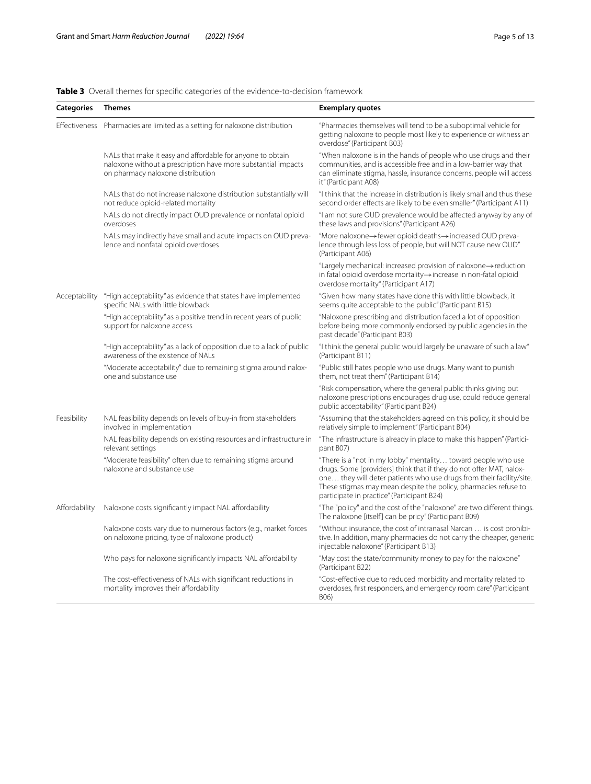# <span id="page-4-0"></span>**Table 3** Overall themes for specifc categories of the evidence-to-decision framework

| <b>Categories</b> | <b>Themes</b>                                                                                                                                                    | <b>Exemplary quotes</b>                                                                                                                                                                                                                                                                                                       |
|-------------------|------------------------------------------------------------------------------------------------------------------------------------------------------------------|-------------------------------------------------------------------------------------------------------------------------------------------------------------------------------------------------------------------------------------------------------------------------------------------------------------------------------|
|                   | Effectiveness Pharmacies are limited as a setting for naloxone distribution                                                                                      | "Pharmacies themselves will tend to be a suboptimal vehicle for<br>getting naloxone to people most likely to experience or witness an<br>overdose" (Participant B03)                                                                                                                                                          |
|                   | NALs that make it easy and affordable for anyone to obtain<br>naloxone without a prescription have more substantial impacts<br>on pharmacy naloxone distribution | "When naloxone is in the hands of people who use drugs and their<br>communities, and is accessible free and in a low-barrier way that<br>can eliminate stigma, hassle, insurance concerns, people will access<br>it" (Participant A08)                                                                                        |
|                   | NALs that do not increase naloxone distribution substantially will<br>not reduce opioid-related mortality                                                        | "I think that the increase in distribution is likely small and thus these<br>second order effects are likely to be even smaller" (Participant A11)                                                                                                                                                                            |
|                   | NALs do not directly impact OUD prevalence or nonfatal opioid<br>overdoses                                                                                       | "I am not sure OUD prevalence would be affected anyway by any of<br>these laws and provisions" (Participant A26)                                                                                                                                                                                                              |
|                   | NALs may indirectly have small and acute impacts on OUD preva-<br>lence and nonfatal opioid overdoses                                                            | "More naloxone->fewer opioid deaths->increased OUD preva-<br>lence through less loss of people, but will NOT cause new OUD"<br>(Participant A06)                                                                                                                                                                              |
|                   |                                                                                                                                                                  | "Largely mechanical: increased provision of naloxone->reduction<br>in fatal opioid overdose mortality -> increase in non-fatal opioid<br>overdose mortality" (Participant A17)                                                                                                                                                |
| Acceptability     | "High acceptability" as evidence that states have implemented<br>specific NALs with little blowback                                                              | "Given how many states have done this with little blowback, it<br>seems quite acceptable to the public" (Participant B15)                                                                                                                                                                                                     |
|                   | "High acceptability" as a positive trend in recent years of public<br>support for naloxone access                                                                | "Naloxone prescribing and distribution faced a lot of opposition<br>before being more commonly endorsed by public agencies in the<br>past decade" (Participant B03)                                                                                                                                                           |
|                   | "High acceptability" as a lack of opposition due to a lack of public<br>awareness of the existence of NALs                                                       | "I think the general public would largely be unaware of such a law"<br>(Participant B11)                                                                                                                                                                                                                                      |
|                   | "Moderate acceptability" due to remaining stigma around nalox-<br>one and substance use                                                                          | "Public still hates people who use drugs. Many want to punish<br>them, not treat them" (Participant B14)                                                                                                                                                                                                                      |
|                   |                                                                                                                                                                  | "Risk compensation, where the general public thinks giving out<br>naloxone prescriptions encourages drug use, could reduce general<br>public acceptability" (Participant B24)                                                                                                                                                 |
| Feasibility       | NAL feasibility depends on levels of buy-in from stakeholders<br>involved in implementation                                                                      | "Assuming that the stakeholders agreed on this policy, it should be<br>relatively simple to implement" (Participant B04)                                                                                                                                                                                                      |
|                   | NAL feasibility depends on existing resources and infrastructure in<br>relevant settings                                                                         | "The infrastructure is already in place to make this happen" (Partici-<br>pant B07)                                                                                                                                                                                                                                           |
|                   | "Moderate feasibility" often due to remaining stigma around<br>naloxone and substance use                                                                        | "There is a "not in my lobby" mentality toward people who use<br>drugs. Some [providers] think that if they do not offer MAT, nalox-<br>one they will deter patients who use drugs from their facility/site.<br>These stigmas may mean despite the policy, pharmacies refuse to<br>participate in practice" (Participant B24) |
| Affordability     | Naloxone costs significantly impact NAL affordability                                                                                                            | "The "policy" and the cost of the "naloxone" are two different things.<br>The naloxone [itself] can be pricy" (Participant B09)                                                                                                                                                                                               |
|                   | Naloxone costs vary due to numerous factors (e.g., market forces<br>on naloxone pricing, type of naloxone product)                                               | "Without insurance, the cost of intranasal Narcan  is cost prohibi-<br>tive. In addition, many pharmacies do not carry the cheaper, generic<br>injectable naloxone" (Participant B13)                                                                                                                                         |
|                   | Who pays for naloxone significantly impacts NAL affordability                                                                                                    | "May cost the state/community money to pay for the naloxone"<br>(Participant B22)                                                                                                                                                                                                                                             |
|                   | The cost-effectiveness of NALs with significant reductions in<br>mortality improves their affordability                                                          | "Cost-effective due to reduced morbidity and mortality related to<br>overdoses, first responders, and emergency room care" (Participant<br>B06)                                                                                                                                                                               |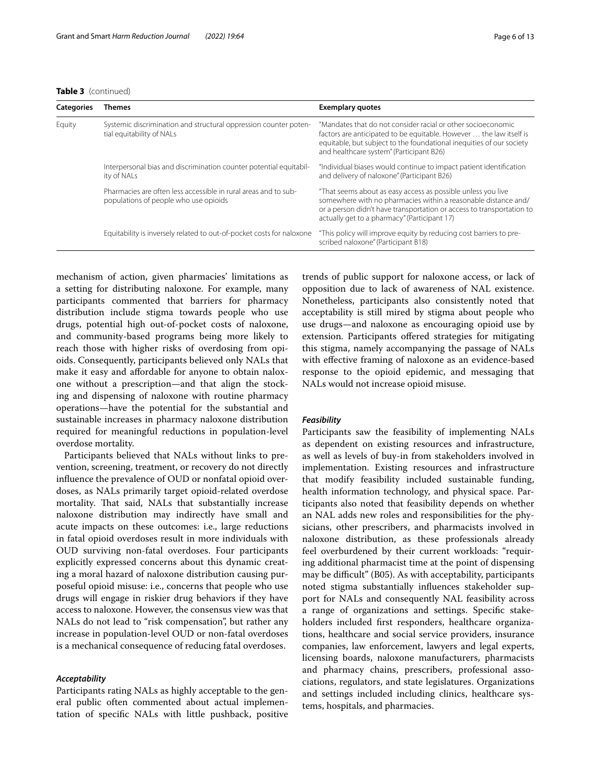**Table 3** (continued)

| <b>Categories</b> | Themes                                                                                                   | <b>Exemplary quotes</b>                                                                                                                                                                                                                                 |
|-------------------|----------------------------------------------------------------------------------------------------------|---------------------------------------------------------------------------------------------------------------------------------------------------------------------------------------------------------------------------------------------------------|
| Equity            | Systemic discrimination and structural oppression counter poten-<br>tial equitability of NALs            | "Mandates that do not consider racial or other socioeconomic<br>factors are anticipated to be equitable. However  the law itself is<br>equitable, but subject to the foundational inequities of our society<br>and healthcare system" (Participant B26) |
|                   | Interpersonal bias and discrimination counter potential equitabil-<br>ity of NALs                        | "Individual biases would continue to impact patient identification<br>and delivery of naloxone" (Participant B26)                                                                                                                                       |
|                   | Pharmacies are often less accessible in rural areas and to sub-<br>populations of people who use opioids | "That seems about as easy access as possible unless you live<br>somewhere with no pharmacies within a reasonable distance and/<br>or a person didn't have transportation or access to transportation to<br>actually get to a pharmacy" (Participant 17) |
|                   | Equitability is inversely related to out-of-pocket costs for naloxone                                    | "This policy will improve equity by reducing cost barriers to pre-<br>scribed naloxone" (Participant B18)                                                                                                                                               |

mechanism of action, given pharmacies' limitations as a setting for distributing naloxone. For example, many participants commented that barriers for pharmacy distribution include stigma towards people who use drugs, potential high out-of-pocket costs of naloxone, and community-based programs being more likely to reach those with higher risks of overdosing from opioids. Consequently, participants believed only NALs that make it easy and afordable for anyone to obtain naloxone without a prescription—and that align the stocking and dispensing of naloxone with routine pharmacy operations—have the potential for the substantial and sustainable increases in pharmacy naloxone distribution required for meaningful reductions in population-level overdose mortality.

Participants believed that NALs without links to prevention, screening, treatment, or recovery do not directly infuence the prevalence of OUD or nonfatal opioid overdoses, as NALs primarily target opioid-related overdose mortality. That said, NALs that substantially increase naloxone distribution may indirectly have small and acute impacts on these outcomes: i.e., large reductions in fatal opioid overdoses result in more individuals with OUD surviving non-fatal overdoses. Four participants explicitly expressed concerns about this dynamic creating a moral hazard of naloxone distribution causing purposeful opioid misuse: i.e., concerns that people who use drugs will engage in riskier drug behaviors if they have access to naloxone. However, the consensus view was that NALs do not lead to "risk compensation", but rather any increase in population-level OUD or non-fatal overdoses is a mechanical consequence of reducing fatal overdoses.

#### *Acceptability*

Participants rating NALs as highly acceptable to the general public often commented about actual implementation of specifc NALs with little pushback, positive

trends of public support for naloxone access, or lack of opposition due to lack of awareness of NAL existence. Nonetheless, participants also consistently noted that acceptability is still mired by stigma about people who use drugs—and naloxone as encouraging opioid use by extension. Participants offered strategies for mitigating this stigma, namely accompanying the passage of NALs with efective framing of naloxone as an evidence-based response to the opioid epidemic, and messaging that NALs would not increase opioid misuse.

# *Feasibility*

Participants saw the feasibility of implementing NALs as dependent on existing resources and infrastructure, as well as levels of buy-in from stakeholders involved in implementation. Existing resources and infrastructure that modify feasibility included sustainable funding, health information technology, and physical space. Participants also noted that feasibility depends on whether an NAL adds new roles and responsibilities for the physicians, other prescribers, and pharmacists involved in naloxone distribution, as these professionals already feel overburdened by their current workloads: "requiring additional pharmacist time at the point of dispensing may be difficult" (B05). As with acceptability, participants noted stigma substantially infuences stakeholder support for NALs and consequently NAL feasibility across a range of organizations and settings. Specifc stakeholders included frst responders, healthcare organizations, healthcare and social service providers, insurance companies, law enforcement, lawyers and legal experts, licensing boards, naloxone manufacturers, pharmacists and pharmacy chains, prescribers, professional associations, regulators, and state legislatures. Organizations and settings included including clinics, healthcare systems, hospitals, and pharmacies.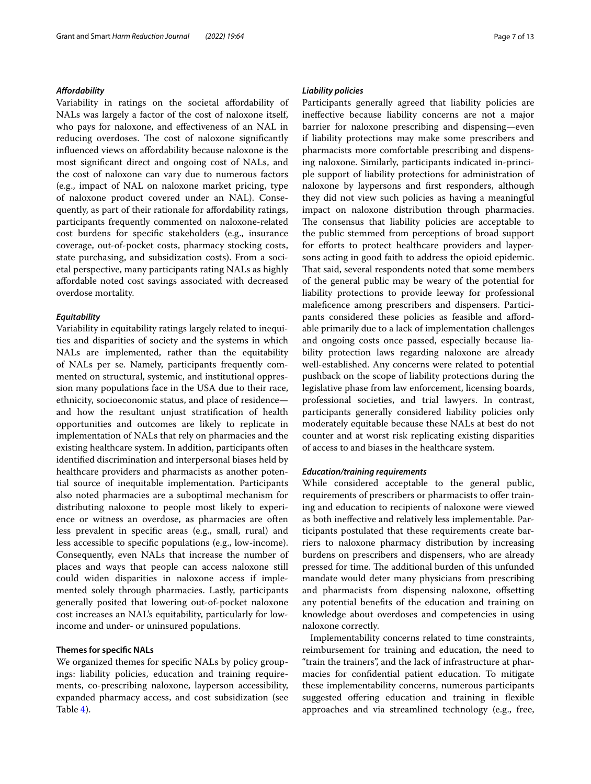## *Afordability*

Variability in ratings on the societal afordability of NALs was largely a factor of the cost of naloxone itself, who pays for naloxone, and efectiveness of an NAL in reducing overdoses. The cost of naloxone significantly infuenced views on afordability because naloxone is the most signifcant direct and ongoing cost of NALs, and the cost of naloxone can vary due to numerous factors (e.g., impact of NAL on naloxone market pricing, type of naloxone product covered under an NAL). Consequently, as part of their rationale for afordability ratings, participants frequently commented on naloxone-related cost burdens for specifc stakeholders (e.g., insurance coverage, out-of-pocket costs, pharmacy stocking costs, state purchasing, and subsidization costs). From a societal perspective, many participants rating NALs as highly afordable noted cost savings associated with decreased overdose mortality.

## *Equitability*

Variability in equitability ratings largely related to inequities and disparities of society and the systems in which NALs are implemented, rather than the equitability of NALs per se. Namely, participants frequently commented on structural, systemic, and institutional oppression many populations face in the USA due to their race, ethnicity, socioeconomic status, and place of residence and how the resultant unjust stratifcation of health opportunities and outcomes are likely to replicate in implementation of NALs that rely on pharmacies and the existing healthcare system. In addition, participants often identifed discrimination and interpersonal biases held by healthcare providers and pharmacists as another potential source of inequitable implementation. Participants also noted pharmacies are a suboptimal mechanism for distributing naloxone to people most likely to experience or witness an overdose, as pharmacies are often less prevalent in specifc areas (e.g., small, rural) and less accessible to specifc populations (e.g., low-income). Consequently, even NALs that increase the number of places and ways that people can access naloxone still could widen disparities in naloxone access if implemented solely through pharmacies. Lastly, participants generally posited that lowering out-of-pocket naloxone cost increases an NAL's equitability, particularly for lowincome and under- or uninsured populations.

# **Themes for specifc NALs**

We organized themes for specifc NALs by policy groupings: liability policies, education and training requirements, co-prescribing naloxone, layperson accessibility, expanded pharmacy access, and cost subsidization (see Table [4](#page-7-0)).

#### *Liability policies*

Participants generally agreed that liability policies are inefective because liability concerns are not a major barrier for naloxone prescribing and dispensing—even if liability protections may make some prescribers and pharmacists more comfortable prescribing and dispensing naloxone. Similarly, participants indicated in-principle support of liability protections for administration of naloxone by laypersons and frst responders, although they did not view such policies as having a meaningful impact on naloxone distribution through pharmacies. The consensus that liability policies are acceptable to the public stemmed from perceptions of broad support for efforts to protect healthcare providers and laypersons acting in good faith to address the opioid epidemic. That said, several respondents noted that some members of the general public may be weary of the potential for liability protections to provide leeway for professional malefcence among prescribers and dispensers. Participants considered these policies as feasible and afordable primarily due to a lack of implementation challenges and ongoing costs once passed, especially because liability protection laws regarding naloxone are already well-established. Any concerns were related to potential pushback on the scope of liability protections during the legislative phase from law enforcement, licensing boards, professional societies, and trial lawyers. In contrast, participants generally considered liability policies only moderately equitable because these NALs at best do not counter and at worst risk replicating existing disparities of access to and biases in the healthcare system.

#### *Education/training requirements*

While considered acceptable to the general public, requirements of prescribers or pharmacists to offer training and education to recipients of naloxone were viewed as both inefective and relatively less implementable. Participants postulated that these requirements create barriers to naloxone pharmacy distribution by increasing burdens on prescribers and dispensers, who are already pressed for time. The additional burden of this unfunded mandate would deter many physicians from prescribing and pharmacists from dispensing naloxone, ofsetting any potential benefts of the education and training on knowledge about overdoses and competencies in using naloxone correctly.

Implementability concerns related to time constraints, reimbursement for training and education, the need to "train the trainers", and the lack of infrastructure at pharmacies for confdential patient education. To mitigate these implementability concerns, numerous participants suggested offering education and training in flexible approaches and via streamlined technology (e.g., free,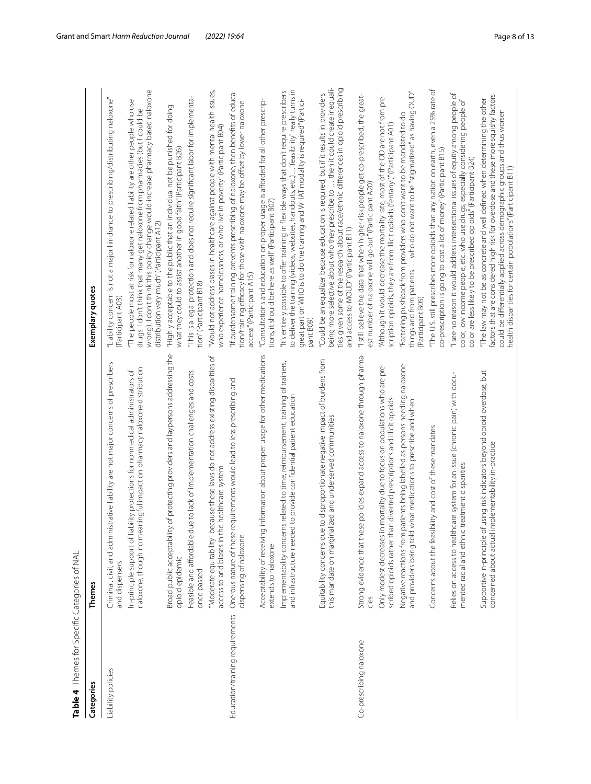| Julys I Do Child Digital Juliyan Direction |                                                                                                                                                           |                                                                                                                                                                                                                                                                                                                |
|--------------------------------------------|-----------------------------------------------------------------------------------------------------------------------------------------------------------|----------------------------------------------------------------------------------------------------------------------------------------------------------------------------------------------------------------------------------------------------------------------------------------------------------------|
| Categories                                 | Themes                                                                                                                                                    | Exemplary quotes                                                                                                                                                                                                                                                                                               |
| Liability policies                         | istrative liability are not major concerns of prescribers<br>Criminal, civil, and admin<br>and dispensers                                                 | "Liability concern is not a major hindrance to prescribing/distributing naloxone"<br>(Participant A03)                                                                                                                                                                                                         |
|                                            | naloxone, though no meaningful impact on pharmacy naloxone distribution<br>In-principle support of liability protections for nonmedical administrators of | wrong). I don't think this policy change would increase pharmacy based naloxone<br>"The people most at risk for naloxone related liability are other people who use<br>drugs. I don't think that many get naloxone from pharmacies (but I could be<br>distribution very much" (Participant A12)                |
|                                            | Broad public acceptability of protecting providers and laypersons addressing the<br>opioid epidemic                                                       | "Highly acceptable to the public that an individual not be punished for doing<br>what they could to assist another in good faith" (Participant B26)                                                                                                                                                            |
|                                            | lue to lack of implementation challenges and costs<br>Feasible and affordable d<br>once passed                                                            | This is a legal protection and does not require significant labor for implementa-<br>tion" (Participant B18)                                                                                                                                                                                                   |
|                                            | "Moderate equitability" because these laws do not address existing disparities of<br>access to and biases in the healthcare system                        | "Would not address biases in healthcare against people with mental health issues,<br>who experience homelessness, or who live in poverty" (Participant B04)                                                                                                                                                    |
| Education/training requirements            | requirements would lead to less prescribing and<br>Onerous nature of these<br>dispensing of naloxone                                                      | "If burdensome training prevents prescribing of naloxone, then benefits of educa-<br>tion/training efficacy for those with naloxone may be offset by lower naloxone<br>access" (Participant A15)                                                                                                               |
|                                            | Acceptability of receiving information about proper usage for other medications<br>extends to naloxone                                                    | "Consultations and education on proper usage is afforded for all other prescrip-<br>tions, it should be here as well" (Participant B07)                                                                                                                                                                        |
|                                            | Implementability concerns related to time, reimbursement, training of trainers,<br>and infrastructure needed to provide confidential patient education    | to deliver the training (videos, websites, handouts, etc.).  "feasibility" really turns in<br>"It's entirely possible to offer training in flexible ways that don't require prescribers<br>great part on WHO is to do the training and WHAT modality is required" (Partici-<br>pant B09)                       |
|                                            | Equitability concerns due to disproportionate negative impact of burdens from<br>this mandate on marginalized and underserved communities                 | being more selective about who they prescribe to  then it could create inequali-<br>ties given some of the research about race/ethnic differences in opioid prescribing<br>"Could be an equalizer because education is required, but if it results in providers<br>and access to MOUD" (Participant B11)       |
| Co-prescribing naloxone                    | Strong evidence that these policies expand access to naloxone through pharma-<br>cies                                                                     | "I still believe the data that when higher-risk people get co-prescribed, the great-<br>est number of naloxone will go out" (Participant A20)                                                                                                                                                                  |
|                                            | Only modest decreases in mortality due to focus on populations who are pre-<br>scribed opioids rather than diverted prescriptions and illicit opioids     | "Although it would decrease the mortality rate, most of the OD are not from pre-<br>scription opioids, they are from illicit opioids (fentanyl)" (Participant A01)                                                                                                                                             |
|                                            | patients being labelled as persons needing naloxone<br>what medications to prescribe and when<br>and providers being told<br>Negative reactions from      | things and from patients  who do not want to be "stigmatized" as having OUD"<br>"Factoring pushback from providers who don't want to be mandated to do<br>(Participant B05)                                                                                                                                    |
|                                            | Concerns about the feasibility and cost of these mandates                                                                                                 | "The U.S. still prescribes more opioids than any nation on earth, even a 25% rate of<br>co-prescription is going to cost a lot of money" (Participant B15)                                                                                                                                                     |
|                                            | Relies on access to healthcare system for an issue (chronic pain) with docu-<br>mented racial and ethnic treatment disparities                            | "I see no reason it would address intersectional issues of equity among people of<br>ð<br>color, low income people, etc. who use drugs, especially considering people<br>color are less likely to be prescribed opioids" (Participant B24)                                                                     |
|                                            | Supportive in-principle of using risk indicators beyond opioid overdose, but<br>implementability in-practice<br>concerned about actual                    | factors that are considered high risk for overdose and these more squishy factors<br>"The law may not be as concrete and well defined when determining the other<br>could be differentially applied across demographic groups and thus worsen<br>health disparities for certain populations" (Participant B11) |

<span id="page-7-0"></span>**Table 4**Themes for Specifc Categories of NAL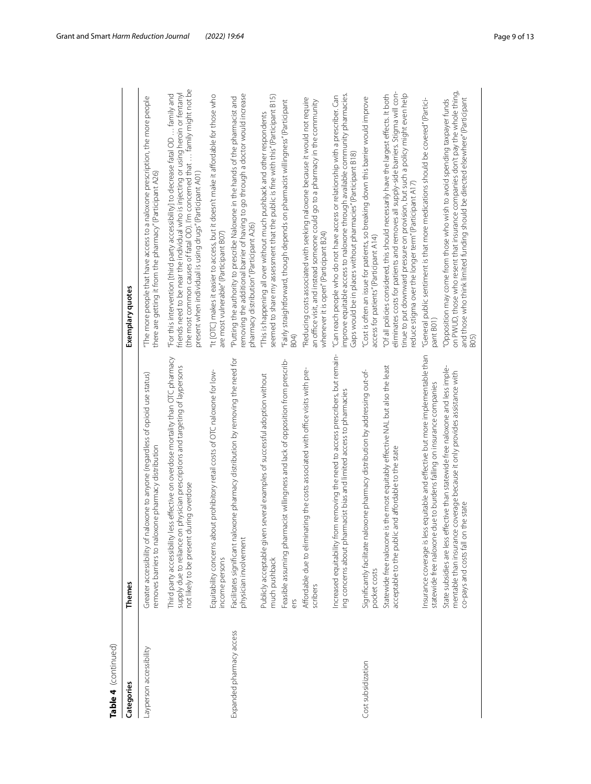| Categories               | Themes                                                                                                                                                                                                           | Exemplary quotes                                                                                                                                                                                                                                                                                                         |
|--------------------------|------------------------------------------------------------------------------------------------------------------------------------------------------------------------------------------------------------------|--------------------------------------------------------------------------------------------------------------------------------------------------------------------------------------------------------------------------------------------------------------------------------------------------------------------------|
| Layperson accessibility  | Greater accessibility of naloxone to anyone (regardless of opioid use status)<br>removes barriers to naloxone pharmacy distribution                                                                              | "The more people that have access to a naloxone prescription, the more people<br>there are getting it from the pharmacy" (Participant A26)                                                                                                                                                                               |
|                          | Third party accessibility less effective on overdose mortality than OTC pharmacy<br>physician prescriptions and targeting of laypersons<br>not likely to be present during overdose<br>supply due to reliance on | (the most common causes of fatal OD). I'm concerned that  family might not be<br>friends need to be near the individual who is injecting or using heroin or fentanyl<br>"For this intervention [third party accessibility] to decrease fatal OD  family and<br>present when individual is using drugs" (Participant A01) |
|                          | Equitability concerns about prohibitory retail costs of OTC naloxone for low-<br>income persons                                                                                                                  | "It [OTC] makes it easier to access, but it doesn't make it affordable for those who<br>are most vulnerable" (Participant B07)                                                                                                                                                                                           |
| Expanded pharmacy access | Facilitates significant naloxone pharmacy distribution by removing the need for<br>physician involvement                                                                                                         | removing the additional barrier of having to go through a doctor would increase<br>"Putting the authority to prescribe Naloxone in the hands of the pharmacist and<br>pharmacy distribution" (Participant A26)                                                                                                           |
|                          | is everal examples of successful adoption without<br>Publicly acceptable given<br>much pushback                                                                                                                  | seemed to share my assessment that the public is fine with this" (Participant B15)<br>"This is happening all over without much pushback and other respondents                                                                                                                                                            |
|                          | Feasible assuming pharmacist willingness and lack of opposition from prescrib-<br>ers                                                                                                                            | "Fairly straightforward, though depends on pharmacist willingness" (Participant                                                                                                                                                                                                                                          |
|                          | Affordable due to eliminating the costs associated with office visits with pre-<br>scribers                                                                                                                      | "Reducing costs associated with seeking naloxone because it would not require<br>an office visit, and instead someone could go to a pharmacy in the community<br>whenever it is open" (Participant B24)                                                                                                                  |
|                          | Increased equitability from removing the need to access prescribers, but remain-<br>ing concerns about pharmacist bias and limited access to pharmacies                                                          | improve equitable access to naloxone through available community pharmacies<br>"Can reach people who do not have access or relationship with a prescriber. Can<br>Gaps would be in places without pharmacies" (Participant B18)                                                                                          |
| Cost subsidization       | oxone pharmacy distribution by addressing out-of-<br>Significantly facilitate nal<br>pocket costs                                                                                                                | "Cost is often an issue for patients, so breaking down this barrier would improve<br>access for patients" (Participant A14)                                                                                                                                                                                              |
|                          | Statewide free naloxone is the most equitably effective NAL but also the least<br>and affordable to the state<br>acceptable to the public                                                                        | eliminates costs for patients and removes all supply-side barriers. Stigma will con-<br>"Of all policies considered, this should necessarily have the largest effects. It both<br>tinue to put downward pressure on provision, but such a policy might even help<br>educe stigma over the longer term" (Participant A17) |
|                          | Insurance coverage is less equitable and effective but more implementable than<br>statewide free naloxone due to burdens falling on insurance companies                                                          | "General public sentiment is that more medications should be covered" (Partici-<br>pant B01                                                                                                                                                                                                                              |
|                          | State subsidies are less effective than statewide free naloxone and less imple-<br>coverage because it only provides assistance with<br>co-pays and costs fall on the state<br>mentable than insurance           | on PWUD, those who resent that insurance companies don't pay the whole thing<br>and those who think limited funding should be directed elsewhere" (Participant<br>"Opposition may come from those who wish to avoid spending taxpayer funds<br>B <sub>05</sub>                                                           |

**Table 4**(continued)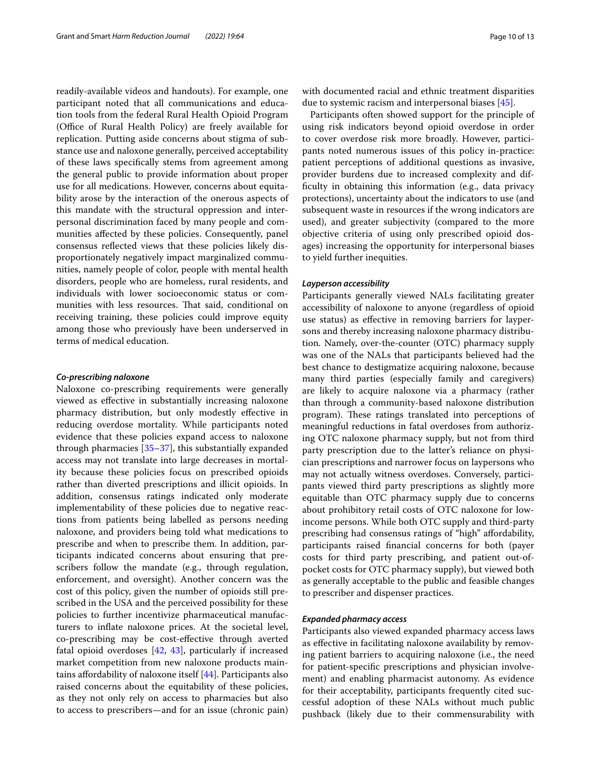readily-available videos and handouts). For example, one participant noted that all communications and education tools from the federal Rural Health Opioid Program (Office of Rural Health Policy) are freely available for replication. Putting aside concerns about stigma of substance use and naloxone generally, perceived acceptability of these laws specifcally stems from agreement among the general public to provide information about proper use for all medications. However, concerns about equitability arose by the interaction of the onerous aspects of this mandate with the structural oppression and interpersonal discrimination faced by many people and communities afected by these policies. Consequently, panel consensus refected views that these policies likely disproportionately negatively impact marginalized communities, namely people of color, people with mental health disorders, people who are homeless, rural residents, and individuals with lower socioeconomic status or communities with less resources. That said, conditional on receiving training, these policies could improve equity among those who previously have been underserved in terms of medical education.

# *Co‑prescribing naloxone*

Naloxone co-prescribing requirements were generally viewed as efective in substantially increasing naloxone pharmacy distribution, but only modestly efective in reducing overdose mortality. While participants noted evidence that these policies expand access to naloxone through pharmacies [\[35](#page-12-7)[–37](#page-12-9)], this substantially expanded access may not translate into large decreases in mortality because these policies focus on prescribed opioids rather than diverted prescriptions and illicit opioids. In addition, consensus ratings indicated only moderate implementability of these policies due to negative reactions from patients being labelled as persons needing naloxone, and providers being told what medications to prescribe and when to prescribe them. In addition, participants indicated concerns about ensuring that prescribers follow the mandate (e.g., through regulation, enforcement, and oversight). Another concern was the cost of this policy, given the number of opioids still prescribed in the USA and the perceived possibility for these policies to further incentivize pharmaceutical manufacturers to infate naloxone prices. At the societal level, co-prescribing may be cost-efective through averted fatal opioid overdoses [[42,](#page-12-10) [43\]](#page-12-11), particularly if increased market competition from new naloxone products maintains afordability of naloxone itself [\[44](#page-12-12)]. Participants also raised concerns about the equitability of these policies, as they not only rely on access to pharmacies but also to access to prescribers—and for an issue (chronic pain) with documented racial and ethnic treatment disparities due to systemic racism and interpersonal biases [\[45](#page-12-13)].

Participants often showed support for the principle of using risk indicators beyond opioid overdose in order to cover overdose risk more broadly. However, participants noted numerous issues of this policy in-practice: patient perceptions of additional questions as invasive, provider burdens due to increased complexity and diffculty in obtaining this information (e.g., data privacy protections), uncertainty about the indicators to use (and subsequent waste in resources if the wrong indicators are used), and greater subjectivity (compared to the more objective criteria of using only prescribed opioid dosages) increasing the opportunity for interpersonal biases to yield further inequities.

#### *Layperson accessibility*

Participants generally viewed NALs facilitating greater accessibility of naloxone to anyone (regardless of opioid use status) as efective in removing barriers for laypersons and thereby increasing naloxone pharmacy distribution. Namely, over-the-counter (OTC) pharmacy supply was one of the NALs that participants believed had the best chance to destigmatize acquiring naloxone, because many third parties (especially family and caregivers) are likely to acquire naloxone via a pharmacy (rather than through a community-based naloxone distribution program). These ratings translated into perceptions of meaningful reductions in fatal overdoses from authorizing OTC naloxone pharmacy supply, but not from third party prescription due to the latter's reliance on physician prescriptions and narrower focus on laypersons who may not actually witness overdoses. Conversely, participants viewed third party prescriptions as slightly more equitable than OTC pharmacy supply due to concerns about prohibitory retail costs of OTC naloxone for lowincome persons. While both OTC supply and third-party prescribing had consensus ratings of "high" afordability, participants raised fnancial concerns for both (payer costs for third party prescribing, and patient out-ofpocket costs for OTC pharmacy supply), but viewed both as generally acceptable to the public and feasible changes to prescriber and dispenser practices.

# *Expanded pharmacy access*

Participants also viewed expanded pharmacy access laws as efective in facilitating naloxone availability by removing patient barriers to acquiring naloxone (i.e., the need for patient-specifc prescriptions and physician involvement) and enabling pharmacist autonomy. As evidence for their acceptability, participants frequently cited successful adoption of these NALs without much public pushback (likely due to their commensurability with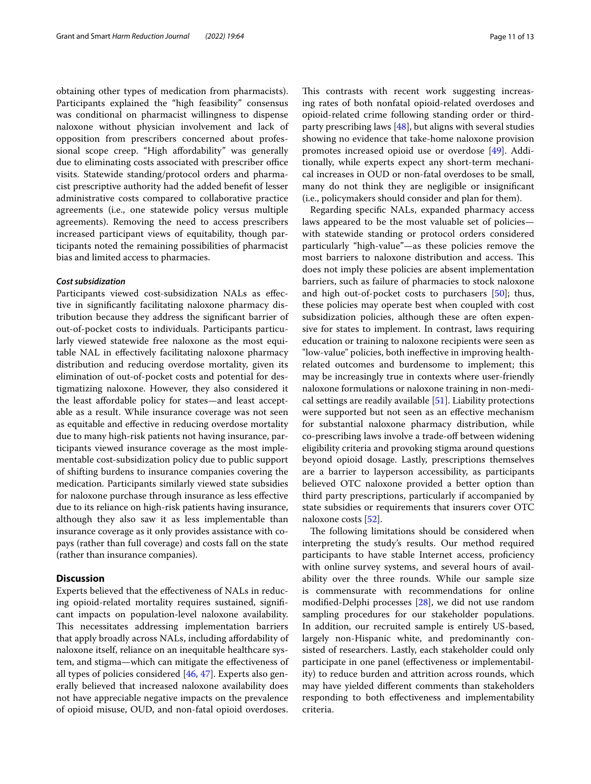obtaining other types of medication from pharmacists). Participants explained the "high feasibility" consensus was conditional on pharmacist willingness to dispense naloxone without physician involvement and lack of opposition from prescribers concerned about professional scope creep. "High affordability" was generally due to eliminating costs associated with prescriber office visits. Statewide standing/protocol orders and pharmacist prescriptive authority had the added beneft of lesser administrative costs compared to collaborative practice agreements (i.e., one statewide policy versus multiple agreements). Removing the need to access prescribers increased participant views of equitability, though participants noted the remaining possibilities of pharmacist bias and limited access to pharmacies.

# *Cost subsidization*

Participants viewed cost-subsidization NALs as efective in signifcantly facilitating naloxone pharmacy distribution because they address the signifcant barrier of out-of-pocket costs to individuals. Participants particularly viewed statewide free naloxone as the most equitable NAL in efectively facilitating naloxone pharmacy distribution and reducing overdose mortality, given its elimination of out-of-pocket costs and potential for destigmatizing naloxone. However, they also considered it the least afordable policy for states—and least acceptable as a result. While insurance coverage was not seen as equitable and efective in reducing overdose mortality due to many high-risk patients not having insurance, participants viewed insurance coverage as the most implementable cost-subsidization policy due to public support of shifting burdens to insurance companies covering the medication. Participants similarly viewed state subsidies for naloxone purchase through insurance as less efective due to its reliance on high-risk patients having insurance, although they also saw it as less implementable than insurance coverage as it only provides assistance with copays (rather than full coverage) and costs fall on the state (rather than insurance companies).

# **Discussion**

Experts believed that the efectiveness of NALs in reducing opioid-related mortality requires sustained, signifcant impacts on population-level naloxone availability. This necessitates addressing implementation barriers that apply broadly across NALs, including afordability of naloxone itself, reliance on an inequitable healthcare system, and stigma—which can mitigate the efectiveness of all types of policies considered [[46](#page-12-14), [47](#page-12-15)]. Experts also generally believed that increased naloxone availability does not have appreciable negative impacts on the prevalence of opioid misuse, OUD, and non-fatal opioid overdoses.

This contrasts with recent work suggesting increasing rates of both nonfatal opioid-related overdoses and opioid-related crime following standing order or thirdparty prescribing laws  $[48]$  $[48]$ , but aligns with several studies showing no evidence that take-home naloxone provision promotes increased opioid use or overdose [[49](#page-12-17)]. Additionally, while experts expect any short-term mechanical increases in OUD or non-fatal overdoses to be small, many do not think they are negligible or insignifcant (i.e., policymakers should consider and plan for them).

Regarding specifc NALs, expanded pharmacy access laws appeared to be the most valuable set of policies with statewide standing or protocol orders considered particularly "high-value"—as these policies remove the most barriers to naloxone distribution and access. This does not imply these policies are absent implementation barriers, such as failure of pharmacies to stock naloxone and high out-of-pocket costs to purchasers [[50](#page-12-18)]; thus, these policies may operate best when coupled with cost subsidization policies, although these are often expensive for states to implement. In contrast, laws requiring education or training to naloxone recipients were seen as "low-value" policies, both inefective in improving healthrelated outcomes and burdensome to implement; this may be increasingly true in contexts where user-friendly naloxone formulations or naloxone training in non-medical settings are readily available [\[51](#page-12-19)]. Liability protections were supported but not seen as an efective mechanism for substantial naloxone pharmacy distribution, while co-prescribing laws involve a trade-of between widening eligibility criteria and provoking stigma around questions beyond opioid dosage. Lastly, prescriptions themselves are a barrier to layperson accessibility, as participants believed OTC naloxone provided a better option than third party prescriptions, particularly if accompanied by state subsidies or requirements that insurers cover OTC naloxone costs [\[52](#page-12-20)].

The following limitations should be considered when interpreting the study's results. Our method required participants to have stable Internet access, profciency with online survey systems, and several hours of availability over the three rounds. While our sample size is commensurate with recommendations for online modifed-Delphi processes [[28\]](#page-12-0), we did not use random sampling procedures for our stakeholder populations. In addition, our recruited sample is entirely US-based, largely non-Hispanic white, and predominantly consisted of researchers. Lastly, each stakeholder could only participate in one panel (efectiveness or implementability) to reduce burden and attrition across rounds, which may have yielded diferent comments than stakeholders responding to both efectiveness and implementability criteria.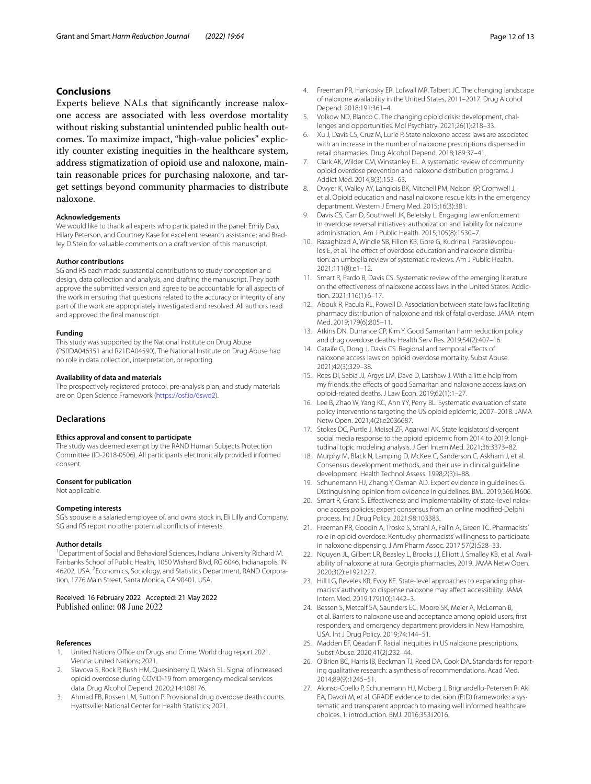# **Conclusions**

Experts believe NALs that signifcantly increase naloxone access are associated with less overdose mortality without risking substantial unintended public health outcomes. To maximize impact, "high-value policies" explicitly counter existing inequities in the healthcare system, address stigmatization of opioid use and naloxone, maintain reasonable prices for purchasing naloxone, and target settings beyond community pharmacies to distribute naloxone.

#### **Acknowledgements**

We would like to thank all experts who participated in the panel; Emily Dao, Hilary Peterson, and Courtney Kase for excellent research assistance; and Bradley D Stein for valuable comments on a draft version of this manuscript.

#### **Author contributions**

SG and RS each made substantial contributions to study conception and design, data collection and analysis, and drafting the manuscript. They both approve the submitted version and agree to be accountable for all aspects of the work in ensuring that questions related to the accuracy or integrity of any part of the work are appropriately investigated and resolved. All authors read and approved the fnal manuscript.

#### **Funding**

This study was supported by the National Institute on Drug Abuse (P50DA046351 and R21DA04590). The National Institute on Drug Abuse had no role in data collection, interpretation, or reporting.

#### **Availability of data and materials**

The prospectively registered protocol, pre-analysis plan, and study materials are on Open Science Framework [\(https://osf.io/6swq2](https://osf.io/6swq2)).

#### **Declarations**

#### **Ethics approval and consent to participate**

The study was deemed exempt by the RAND Human Subjects Protection Committee (ID-2018-0506). All participants electronically provided informed consent.

#### **Consent for publication**

Not applicable.

#### **Competing interests**

SG's spouse is a salaried employee of, and owns stock in, Eli Lilly and Company. SG and RS report no other potential conficts of interests.

#### **Author details**

<sup>1</sup> Department of Social and Behavioral Sciences, Indiana University Richard M. Fairbanks School of Public Health, 1050 Wishard Blvd, RG 6046, Indianapolis, IN 46202, USA. <sup>2</sup> Economics, Sociology, and Statistics Department, RAND Corporation, 1776 Main Street, Santa Monica, CA 90401, USA.

#### Received: 16 February 2022 Accepted: 21 May 2022 Published online: 08 June 2022

#### **References**

- <span id="page-11-0"></span>United Nations Office on Drugs and Crime. World drug report 2021. Vienna: United Nations; 2021.
- <span id="page-11-1"></span>2. Slavova S, Rock P, Bush HM, Quesinberry D, Walsh SL. Signal of increased opioid overdose during COVID-19 from emergency medical services data. Drug Alcohol Depend. 2020;214:108176.
- <span id="page-11-2"></span>3. Ahmad FB, Rossen LM, Sutton P. Provisional drug overdose death counts. Hyattsville: National Center for Health Statistics; 2021.
- <span id="page-11-3"></span>4. Freeman PR, Hankosky ER, Lofwall MR, Talbert JC. The changing landscape of naloxone availability in the United States, 2011–2017. Drug Alcohol Depend. 2018;191:361–4.
- <span id="page-11-4"></span>5. Volkow ND, Blanco C. The changing opioid crisis: development, challenges and opportunities. Mol Psychiatry. 2021;26(1):218–33.
- <span id="page-11-5"></span>6. Xu J, Davis CS, Cruz M, Lurie P. State naloxone access laws are associated with an increase in the number of naloxone prescriptions dispensed in retail pharmacies. Drug Alcohol Depend. 2018;189:37–41.
- <span id="page-11-6"></span>7. Clark AK, Wilder CM, Winstanley EL. A systematic review of community opioid overdose prevention and naloxone distribution programs. J Addict Med. 2014;8(3):153–63.
- <span id="page-11-7"></span>8. Dwyer K, Walley AY, Langlois BK, Mitchell PM, Nelson KP, Cromwell J, et al. Opioid education and nasal naloxone rescue kits in the emergency department. Western J Emerg Med. 2015;16(3):381.
- <span id="page-11-8"></span>9. Davis CS, Carr D, Southwell JK, Beletsky L. Engaging law enforcement in overdose reversal initiatives: authorization and liability for naloxone administration. Am J Public Health. 2015;105(8):1530–7.
- <span id="page-11-9"></span>10. Razaghizad A, Windle SB, Filion KB, Gore G, Kudrina I, Paraskevopoulos E, et al. The effect of overdose education and naloxone distribution: an umbrella review of systematic reviews. Am J Public Health. 2021;111(8):e1–12.
- <span id="page-11-10"></span>11. Smart R, Pardo B, Davis CS. Systematic review of the emerging literature on the efectiveness of naloxone access laws in the United States. Addiction. 2021;116(1):6–17.
- <span id="page-11-11"></span>12. Abouk R, Pacula RL, Powell D. Association between state laws facilitating pharmacy distribution of naloxone and risk of fatal overdose. JAMA Intern Med. 2019;179(6):805–11.
- 13. Atkins DN, Durrance CP, Kim Y. Good Samaritan harm reduction policy and drug overdose deaths. Health Serv Res. 2019;54(2):407–16.
- 14. Cataife G, Dong J, Davis CS. Regional and temporal effects of naloxone access laws on opioid overdose mortality. Subst Abuse. 2021;42(3):329–38.
- <span id="page-11-21"></span>15. Rees DI, Sabia JJ, Argys LM, Dave D, Latshaw J. With a little help from my friends: the effects of good Samaritan and naloxone access laws on opioid-related deaths. J Law Econ. 2019;62(1):1–27.
- <span id="page-11-12"></span>16. Lee B, Zhao W, Yang KC, Ahn YY, Perry BL. Systematic evaluation of state policy interventions targeting the US opioid epidemic, 2007–2018. JAMA Netw Open. 2021;4(2):e2036687.
- <span id="page-11-13"></span>17. Stokes DC, Purtle J, Meisel ZF, Agarwal AK. State legislators' divergent social media response to the opioid epidemic from 2014 to 2019: longitudinal topic modeling analysis. J Gen Intern Med. 2021;36:3373–82.
- <span id="page-11-14"></span>18. Murphy M, Black N, Lamping D, McKee C, Sanderson C, Askham J, et al. Consensus development methods, and their use in clinical guideline development. Health Technol Assess. 1998;2(3):i–88.
- <span id="page-11-15"></span>19. Schunemann HJ, Zhang Y, Oxman AD. Expert evidence in guidelines G. Distinguishing opinion from evidence in guidelines. BMJ. 2019;366:l4606.
- <span id="page-11-16"></span>20. Smart R, Grant S. Efectiveness and implementability of state-level naloxone access policies: expert consensus from an online modifed-Delphi process. Int J Drug Policy. 2021;98:103383.
- <span id="page-11-17"></span>21. Freeman PR, Goodin A, Troske S, Strahl A, Fallin A, Green TC. Pharmacists' role in opioid overdose: Kentucky pharmacists' willingness to participate in naloxone dispensing. J Am Pharm Assoc. 2017;57(2):S28–33.
- 22. Nguyen JL, Gilbert LR, Beasley L, Brooks JJ, Elliott J, Smalley KB, et al. Availability of naloxone at rural Georgia pharmacies, 2019. JAMA Netw Open. 2020;3(2):e1921227.
- 23. Hill LG, Reveles KR, Evoy KE. State-level approaches to expanding pharmacists' authority to dispense naloxone may afect accessibility. JAMA Intern Med. 2019;179(10):1442–3.
- 24. Bessen S, Metcalf SA, Saunders EC, Moore SK, Meier A, McLeman B, et al. Barriers to naloxone use and acceptance among opioid users, frst responders, and emergency department providers in New Hampshire, USA. Int J Drug Policy. 2019;74:144–51.
- <span id="page-11-18"></span>25. Madden EF, Qeadan F. Racial inequities in US naloxone prescriptions. Subst Abuse. 2020;41(2):232–44.
- <span id="page-11-19"></span>26. O'Brien BC, Harris IB, Beckman TJ, Reed DA, Cook DA. Standards for reporting qualitative research: a synthesis of recommendations. Acad Med. 2014;89(9):1245–51.
- <span id="page-11-20"></span>27. Alonso-Coello P, Schunemann HJ, Moberg J, Brignardello-Petersen R, Akl EA, Davoli M, et al. GRADE evidence to decision (EtD) frameworks: a systematic and transparent approach to making well informed healthcare choices. 1: introduction. BMJ. 2016;353:i2016.